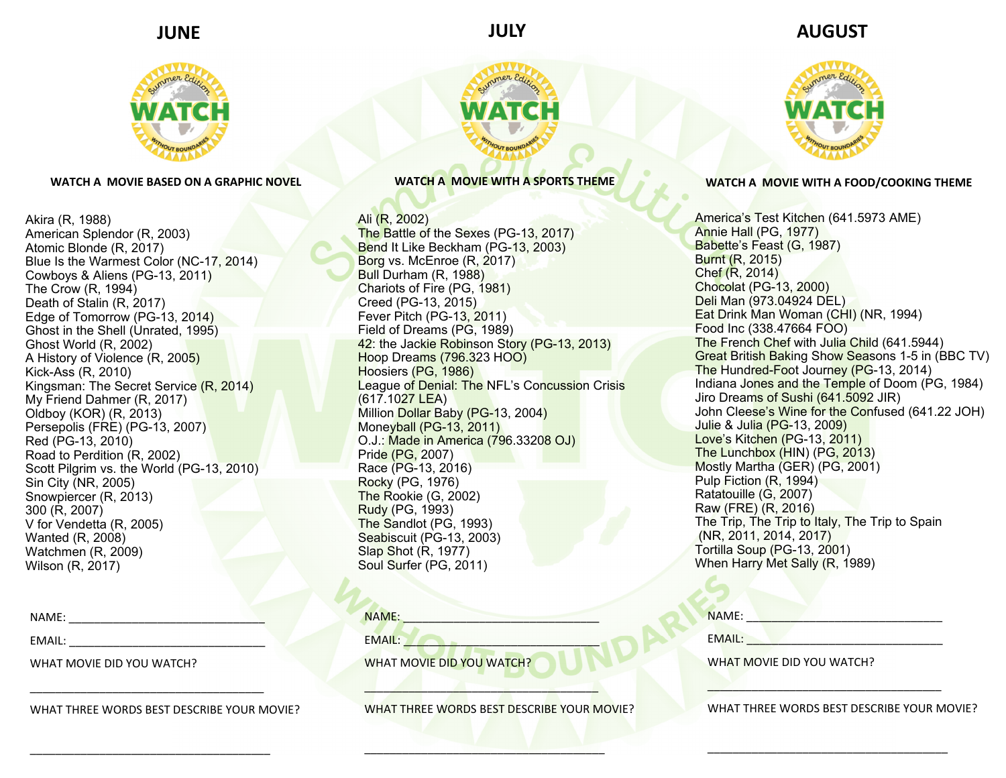## **JUNE**



**WATCH A MOVIE BASED ON A GRAPHIC NOVEL** 

Akira (R, 1988) American Splendor (R, 2003) Atomic Blonde (R, 2017) Blue Is the Warmest Color (NC-17, 2014) Cowboys & Aliens (PG-13, 2011) The Crow (R, 1994) Death of Stalin (R, 2017) Edge of Tomorrow (PG-13, 2014) Ghost in the Shell (Unrated, 1995) Ghost World (R, 2002) A History of Violence (R, 2005) Kick-Ass (R, 2010) Kingsman: The Secret Service (R, 2014) My Friend Dahmer (R, 2017) Oldboy (KOR) (R, 2013) Persepolis (FRE) (PG-13, 2007) Red (PG-13, 2010) Road to Perdition (R, 2002) Scott Pilgrim vs. the World (PG-13, 2010) Sin City (NR, 2005) Snowpiercer (R, 2013) 300 (R, 2007) V for Vendetta (R, 2005) Wanted (R, 2008) Watchmen (R, 2009) Wilson (R, 2017)

NAME:

EMAIL:

WHAT MOVIE DID YOU WATCH?

WHAT THREE WORDS BEST DESCRIBE YOUR MOVIE?

\_\_\_\_\_\_\_\_\_\_\_\_\_\_\_\_\_\_\_\_\_\_\_\_\_\_\_\_\_\_\_\_\_\_\_\_\_

\_\_\_\_\_\_\_\_\_\_\_\_\_\_\_\_\_\_\_\_\_\_\_\_\_\_\_\_\_\_\_\_\_\_\_\_\_\_

Ali (R, 2002) The Battle of the Sexes (PG-13, 2017) Bend It Like Beckham (PG-13, 2003) Borg vs. McEnroe (R, 2017) Bull Durham (R, 1988) Chariots of Fire (PG, 1981) Creed (PG-13, 2015) Fever Pitch (PG-13, 2011) Field of Dreams (PG, 1989) 42: the Jackie Robinson Story (PG-13, 2013) Hoop Dreams (796.323 HOO) Hoosiers (PG, 1986) League of Denial: The NFL's Concussion Crisis (617.1027 LEA) Million Dollar Baby (PG-13, 2004) Moneyball (PG-13, 2011) O.J.: Made in America (796.33208 OJ) Pride (PG, 2007) Race (PG-13, 2016) Rocky (PG, 1976) The Rookie (G, 2002) Rudy (PG, 1993) The Sandlot (PG, 1993) Seabiscuit (PG-13, 2003) Slap Shot (R, 1977) Soul Surfer (PG, 2011)

NAME:

EMAIL:

WHAT MOVIE DID YOU WATCH?

WHAT THREE WORDS BEST DESCRIBE YOUR MOVIE?

\_\_\_\_\_\_\_\_\_\_\_\_\_\_\_\_\_\_\_\_\_\_\_\_\_\_\_\_\_\_\_\_\_\_\_\_\_

\_\_\_\_\_\_\_\_\_\_\_\_\_\_\_\_\_\_\_\_\_\_\_\_\_\_\_\_\_\_\_\_\_\_\_\_\_\_

## **JULY AUGUST**



## **WATCH A MOVIE WITH A SPORTS THEME WATCH A MOVIE WITH A FOOD/COOKING THEME**

America's Test Kitchen (641.5973 AME) Annie Hall (PG, 1977) Babette's Feast (G, 1987) Burnt (R, 2015) Chef (R, 2014) Chocolat (PG-13, 2000) Deli Man (973.04924 DEL) Eat Drink Man Woman (CHI) (NR, 1994) Food Inc (338.47664 FOO) The French Chef with Julia Child (641.5944) Great British Baking Show Seasons 1-5 in (BBC TV) The Hundred-Foot Journey (PG-13, 2014) Indiana Jones and the Temple of Doom (PG, 1984) Jiro Dreams of Sushi (641.5092 JIR) John Cleese's Wine for the Confused (641.22 JOH) Julie & Julia (PG-13, 2009) Love's Kitchen (PG-13, 2011) The Lunchbox (HIN) (PG, 2013) Mostly Martha (GER) (PG, 2001) Pulp Fiction (R, 1994) Ratatouille (G, 2007) Raw (FRE) (R, 2016) The Trip, The Trip to Italy, The Trip to Spain (NR, 2011, 2014, 2017) Tortilla Soup (PG-13, 2001) When Harry Met Sally (R, 1989)

| <b>NAME</b> |
|-------------|
|-------------|

EMAIL: \_\_\_\_\_\_\_\_\_\_\_\_\_\_\_\_\_\_\_\_\_\_\_\_\_\_\_\_\_\_\_

WHAT MOVIE DID YOU WATCH?

WHAT THREE WORDS BEST DESCRIBE YOUR MOVIE?

\_\_\_\_\_\_\_\_\_\_\_\_\_\_\_\_\_\_\_\_\_\_\_\_\_\_\_\_\_\_\_\_\_\_\_\_\_

 $\overline{\phantom{a}}$  , and the contribution of the contribution of  $\overline{\phantom{a}}$  , and  $\overline{\phantom{a}}$  , and  $\overline{\phantom{a}}$  , and  $\overline{\phantom{a}}$  , and  $\overline{\phantom{a}}$  , and  $\overline{\phantom{a}}$  , and  $\overline{\phantom{a}}$  , and  $\overline{\phantom{a}}$  , and  $\overline{\phantom{a}}$  , and

 $\overline{\phantom{a}}$  ,  $\overline{\phantom{a}}$  ,  $\overline{\phantom{a}}$  ,  $\overline{\phantom{a}}$  ,  $\overline{\phantom{a}}$  ,  $\overline{\phantom{a}}$  ,  $\overline{\phantom{a}}$  ,  $\overline{\phantom{a}}$  ,  $\overline{\phantom{a}}$  ,  $\overline{\phantom{a}}$  ,  $\overline{\phantom{a}}$  ,  $\overline{\phantom{a}}$  ,  $\overline{\phantom{a}}$  ,  $\overline{\phantom{a}}$  ,  $\overline{\phantom{a}}$  ,  $\overline{\phantom{a}}$